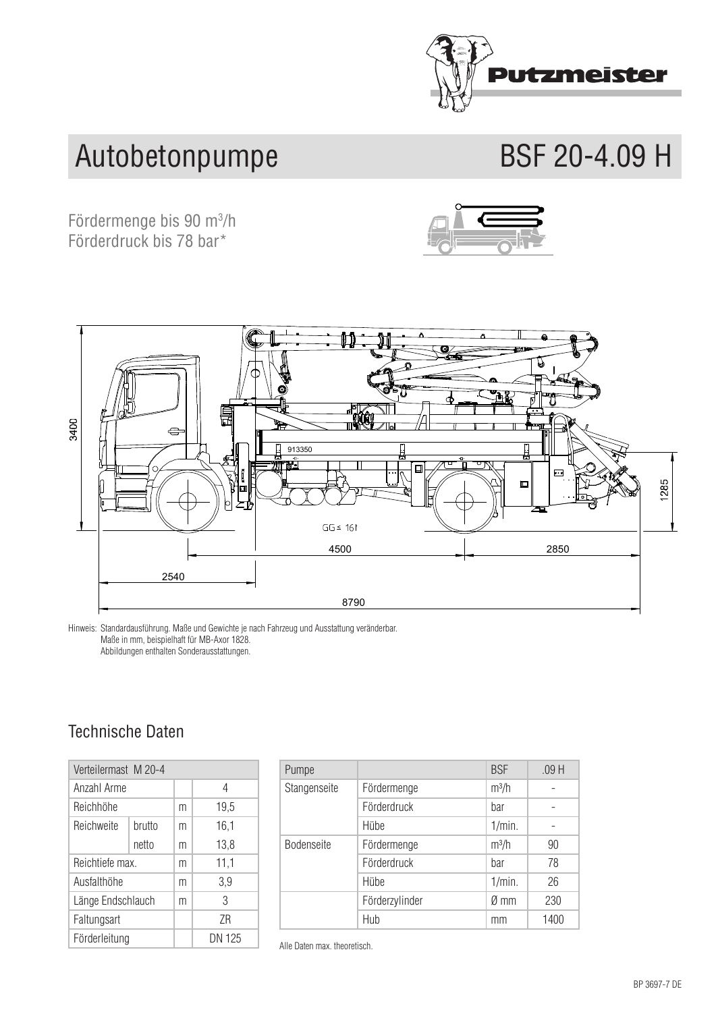

## Autobetonpumpe BSF 20-4.09 H

**Truck-mounted BSF 20-4.09 H** Förderdruck bis 78 bar<sup>\*</sup> Fördermenge bis 90 m<sup>3</sup>/h



Hinweis: Standardausführung. Maße und Gewichte je nach Fahrzeug und Ausstattung veränderbar. Maße in mm, beispielhaft für MB-Axor 1828. Hinweis: Standardausführung. Maße un iviabe in mm, beispielnaft für Abbildungen enthalten Sonderausstattungen. reug und Ausstattung veränderbar. Hinweis: Standardausführung. Maße und Gewichte je nach Fahrzeug und Ausstattung veränderbar.<br>Maße in mm, beispielhaft für MB-Axor 1828. Maße in mm, beispielhaft für MB-Axor 1828.

## $\mathbf{S}$  sections 4. The section of  $\mathbf{S}$ **COMMODIC DATON** Technische Daten

| Verteilermast M 20-4 |        |   |        |
|----------------------|--------|---|--------|
| Anzahl Arme          |        |   | 4      |
| Reichhöhe            |        | m | 19,5   |
| Reichweite           | brutto | m | 16,1   |
|                      | netto  | m | 13,8   |
| Reichtiefe max.      |        | m | 11,1   |
| Ausfalthöhe          |        | m | 3,9    |
| Länge Endschlauch    |        | m | 3      |
| Faltungsart          |        |   | 7R     |
| Förderleitung        |        |   | DN 125 |
|                      |        |   |        |

|                | <b>BSF</b> | .09 <sub>H</sub> |
|----------------|------------|------------------|
| Fördermenge    | $m^3/h$    |                  |
| Förderdruck    | bar        |                  |
| Hübe           | 1/min.     |                  |
| Fördermenge    | $m^3/h$    | 90               |
| Förderdruck    | bar        | 78               |
| Hübe           | 1/min.     | 26               |
| Förderzylinder | Ø mm       | 230              |
| Hub            | mm         | 1400             |
|                |            |                  |

Alle Daten max. theoretisch.